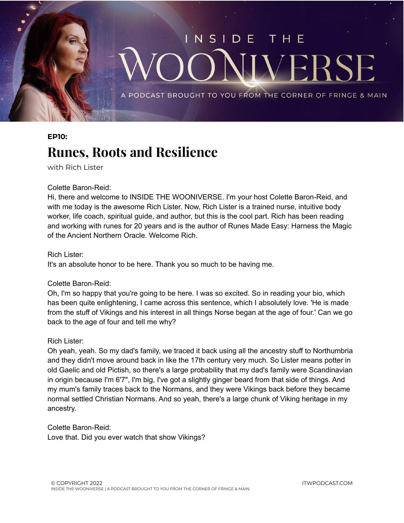

## **EP10: Runes, Roots and Resilience**

with Rich Lister

## Colette Baron-Reid:

Hi, there and welcome to INSIDE THE WOONIVERSE. I'm your host Colette Baron-Reid, and with me today is the awesome Rich Lister. Now, Rich Lister is a trained nurse, intuitive body worker, life coach, spiritual guide, and author, but this is the cool part. Rich has been reading and working with runes for 20 years and is the author of Runes Made Easy: Harness the Magic of the Ancient Northern Oracle. Welcome Rich.

## Rich Lister:

It's an absolute honor to be here. Thank you so much to be having me.

## Colette Baron-Reid:

Oh, I'm so happy that you're going to be here. I was so excited. So in reading your bio, which has been quite enlightening, I came across this sentence, which I absolutely love. 'He is made from the stuff of Vikings and his interest in all things Norse began at the age of four.' Can we go back to the age of four and tell me why?

## Rich Lister:

Oh yeah, yeah. So my dad's family, we traced it back using all the ancestry stuff to Northumbria and they didn't move around back in like the 17th century very much. So Lister means potter in old Gaelic and old Pictish, so there's a large probability that my dad's family were Scandinavian in origin because I'm 6'7", I'm big, I've got a slightly ginger beard from that side of things. And my mum's family traces back to the Normans, and they were Vikings back before they became normal settled Christian Normans. And so yeah, there's a large chunk of Viking heritage in my ancestry.

Colette Baron-Reid: Love that. Did you ever watch that show Vikings?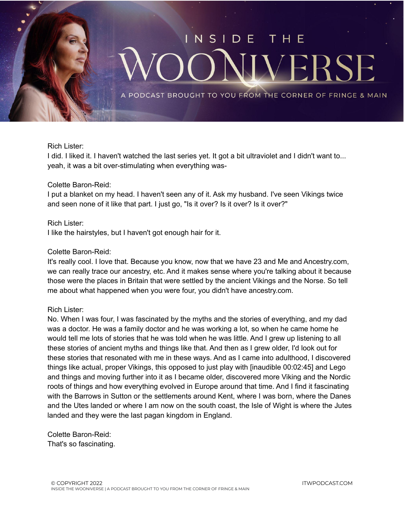

## Rich Lister:

I did. I liked it. I haven't watched the last series yet. It got a bit ultraviolet and I didn't want to... yeah, it was a bit over-stimulating when everything was-

#### Colette Baron-Reid:

I put a blanket on my head. I haven't seen any of it. Ask my husband. I've seen Vikings twice and seen none of it like that part. I just go, "Is it over? Is it over? Is it over?"

#### Rich Lister:

I like the hairstyles, but I haven't got enough hair for it.

#### Colette Baron-Reid:

It's really cool. I love that. Because you know, now that we have 23 and Me and Ancestry.com, we can really trace our ancestry, etc. And it makes sense where you're talking about it because those were the places in Britain that were settled by the ancient Vikings and the Norse. So tell me about what happened when you were four, you didn't have ancestry.com.

#### Rich Lister:

No. When I was four, I was fascinated by the myths and the stories of everything, and my dad was a doctor. He was a family doctor and he was working a lot, so when he came home he would tell me lots of stories that he was told when he was little. And I grew up listening to all these stories of ancient myths and things like that. And then as I grew older, I'd look out for these stories that resonated with me in these ways. And as I came into adulthood, I discovered things like actual, proper Vikings, this opposed to just play with [inaudible 00:02:45] and Lego and things and moving further into it as I became older, discovered more Viking and the Nordic roots of things and how everything evolved in Europe around that time. And I find it fascinating with the Barrows in Sutton or the settlements around Kent, where I was born, where the Danes and the Utes landed or where I am now on the south coast, the Isle of Wight is where the Jutes landed and they were the last pagan kingdom in England.

Colette Baron-Reid: That's so fascinating.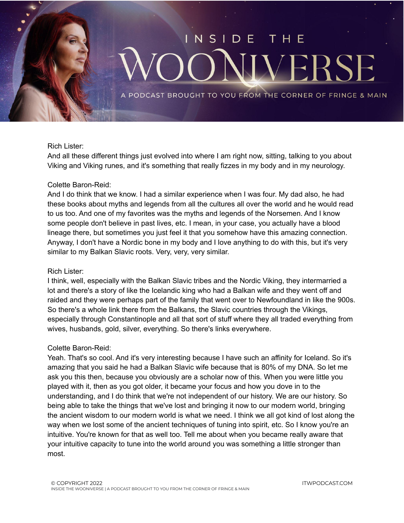

## Rich Lister:

And all these different things just evolved into where I am right now, sitting, talking to you about Viking and Viking runes, and it's something that really fizzes in my body and in my neurology.

#### Colette Baron-Reid:

And I do think that we know. I had a similar experience when I was four. My dad also, he had these books about myths and legends from all the cultures all over the world and he would read to us too. And one of my favorites was the myths and legends of the Norsemen. And I know some people don't believe in past lives, etc. I mean, in your case, you actually have a blood lineage there, but sometimes you just feel it that you somehow have this amazing connection. Anyway, I don't have a Nordic bone in my body and I love anything to do with this, but it's very similar to my Balkan Slavic roots. Very, very, very similar.

#### Rich Lister:

I think, well, especially with the Balkan Slavic tribes and the Nordic Viking, they intermarried a lot and there's a story of like the Icelandic king who had a Balkan wife and they went off and raided and they were perhaps part of the family that went over to Newfoundland in like the 900s. So there's a whole link there from the Balkans, the Slavic countries through the Vikings, especially through Constantinople and all that sort of stuff where they all traded everything from wives, husbands, gold, silver, everything. So there's links everywhere.

#### Colette Baron-Reid:

Yeah. That's so cool. And it's very interesting because I have such an affinity for Iceland. So it's amazing that you said he had a Balkan Slavic wife because that is 80% of my DNA. So let me ask you this then, because you obviously are a scholar now of this. When you were little you played with it, then as you got older, it became your focus and how you dove in to the understanding, and I do think that we're not independent of our history. We are our history. So being able to take the things that we've lost and bringing it now to our modern world, bringing the ancient wisdom to our modern world is what we need. I think we all got kind of lost along the way when we lost some of the ancient techniques of tuning into spirit, etc. So I know you're an intuitive. You're known for that as well too. Tell me about when you became really aware that your intuitive capacity to tune into the world around you was something a little stronger than most.

ITWPODCAST.COM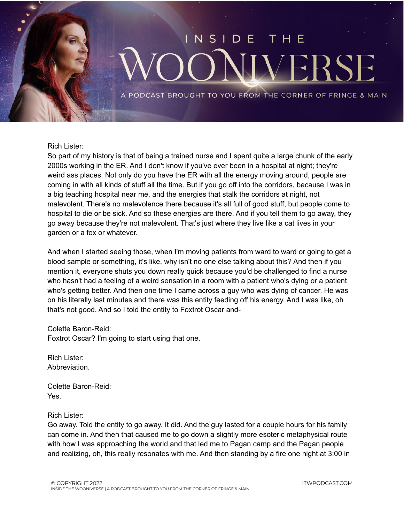# N S DE THE F

PODCAST BROUGHT TO YOU FROM THE CORNER OF FRINGE & MAIN

#### Rich Lister:

So part of my history is that of being a trained nurse and I spent quite a large chunk of the early 2000s working in the ER. And I don't know if you've ever been in a hospital at night; they're weird ass places. Not only do you have the ER with all the energy moving around, people are coming in with all kinds of stuff all the time. But if you go off into the corridors, because I was in a big teaching hospital near me, and the energies that stalk the corridors at night, not malevolent. There's no malevolence there because it's all full of good stuff, but people come to hospital to die or be sick. And so these energies are there. And if you tell them to go away, they go away because they're not malevolent. That's just where they live like a cat lives in your garden or a fox or whatever.

And when I started seeing those, when I'm moving patients from ward to ward or going to get a blood sample or something, it's like, why isn't no one else talking about this? And then if you mention it, everyone shuts you down really quick because you'd be challenged to find a nurse who hasn't had a feeling of a weird sensation in a room with a patient who's dying or a patient who's getting better. And then one time I came across a guy who was dying of cancer. He was on his literally last minutes and there was this entity feeding off his energy. And I was like, oh that's not good. And so I told the entity to Foxtrot Oscar and-

Colette Baron-Reid: Foxtrot Oscar? I'm going to start using that one.

Rich Lister: Abbreviation.

Colette Baron-Reid: Yes.

Rich Lister:

Go away. Told the entity to go away. It did. And the guy lasted for a couple hours for his family can come in. And then that caused me to go down a slightly more esoteric metaphysical route with how I was approaching the world and that led me to Pagan camp and the Pagan people and realizing, oh, this really resonates with me. And then standing by a fire one night at 3:00 in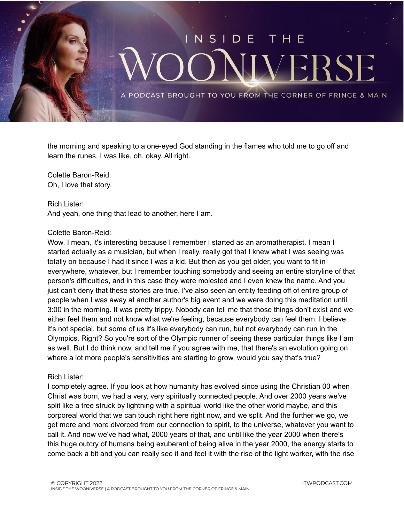

the morning and speaking to a one-eyed God standing in the flames who told me to go off and learn the runes. I was like, oh, okay. All right.

Colette Baron-Reid: Oh, I love that story.

Rich Lister: And yeah, one thing that lead to another, here I am.

#### Colette Baron-Reid:

Wow. I mean, it's interesting because I remember I started as an aromatherapist. I mean I started actually as a musician, but when I really, really got that I knew what I was seeing was totally on because I had it since I was a kid. But then as you get older, you want to fit in everywhere, whatever, but I remember touching somebody and seeing an entire storyline of that person's difficulties, and in this case they were molested and I even knew the name. And you just can't deny that these stories are true. I've also seen an entity feeding off of entire group of people when I was away at another author's big event and we were doing this meditation until 3:00 in the morning. It was pretty trippy. Nobody can tell me that those things don't exist and we either feel them and not know what we're feeling, because everybody can feel them. I believe it's not special, but some of us it's like everybody can run, but not everybody can run in the Olympics. Right? So you're sort of the Olympic runner of seeing these particular things like I am as well. But I do think now, and tell me if you agree with me, that there's an evolution going on where a lot more people's sensitivities are starting to grow, would you say that's true?

#### Rich Lister:

I completely agree. If you look at how humanity has evolved since using the Christian 00 when Christ was born, we had a very, very spiritually connected people. And over 2000 years we've split like a tree struck by lightning with a spiritual world like the other world maybe, and this corporeal world that we can touch right here right now, and we split. And the further we go, we get more and more divorced from our connection to spirit, to the universe, whatever you want to call it. And now we've had what, 2000 years of that, and until like the year 2000 when there's this huge outcry of humans being exuberant of being alive in the year 2000, the energy starts to come back a bit and you can really see it and feel it with the rise of the light worker, with the rise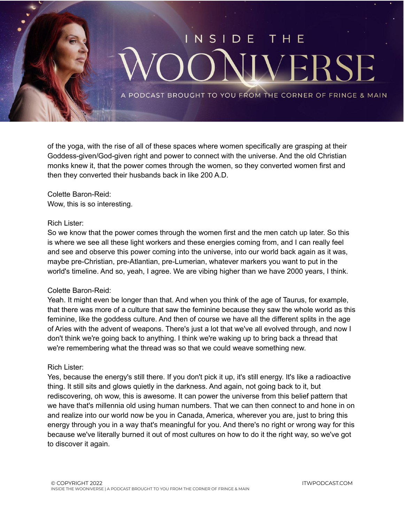

of the yoga, with the rise of all of these spaces where women specifically are grasping at their Goddess-given/God-given right and power to connect with the universe. And the old Christian monks knew it, that the power comes through the women, so they converted women first and then they converted their husbands back in like 200 A.D.

Colette Baron-Reid: Wow, this is so interesting.

## Rich Lister:

So we know that the power comes through the women first and the men catch up later. So this is where we see all these light workers and these energies coming from, and I can really feel and see and observe this power coming into the universe, into our world back again as it was, maybe pre-Christian, pre-Atlantian, pre-Lumerian, whatever markers you want to put in the world's timeline. And so, yeah, I agree. We are vibing higher than we have 2000 years, I think.

## Colette Baron-Reid:

Yeah. It might even be longer than that. And when you think of the age of Taurus, for example, that there was more of a culture that saw the feminine because they saw the whole world as this feminine, like the goddess culture. And then of course we have all the different splits in the age of Aries with the advent of weapons. There's just a lot that we've all evolved through, and now I don't think we're going back to anything. I think we're waking up to bring back a thread that we're remembering what the thread was so that we could weave something new.

#### Rich Lister:

Yes, because the energy's still there. If you don't pick it up, it's still energy. It's like a radioactive thing. It still sits and glows quietly in the darkness. And again, not going back to it, but rediscovering, oh wow, this is awesome. It can power the universe from this belief pattern that we have that's millennia old using human numbers. That we can then connect to and hone in on and realize into our world now be you in Canada, America, wherever you are, just to bring this energy through you in a way that's meaningful for you. And there's no right or wrong way for this because we've literally burned it out of most cultures on how to do it the right way, so we've got to discover it again.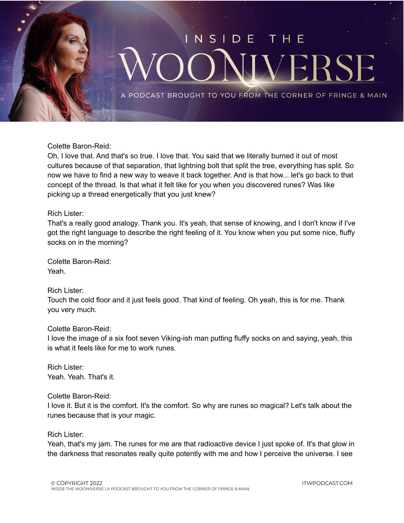

Colette Baron-Reid:

Oh, I love that. And that's so true. I love that. You said that we literally burned it out of most cultures because of that separation, that lightning bolt that split the tree, everything has split. So now we have to find a new way to weave it back together. And is that how... let's go back to that concept of the thread. Is that what it felt like for you when you discovered runes? Was like picking up a thread energetically that you just knew?

## Rich Lister:

That's a really good analogy. Thank you. It's yeah, that sense of knowing, and I don't know if I've got the right language to describe the right feeling of it. You know when you put some nice, fluffy socks on in the morning?

Colette Baron-Reid: Yeah.

Rich Lister:

Touch the cold floor and it just feels good. That kind of feeling. Oh yeah, this is for me. Thank you very much.

## Colette Baron-Reid:

I love the image of a six foot seven Viking-ish man putting fluffy socks on and saying, yeah, this is what it feels like for me to work runes.

Rich Lister: Yeah. Yeah. That's it.

Colette Baron-Reid:

I love it. But it is the comfort. It's the comfort. So why are runes so magical? Let's talk about the runes because that is your magic.

Rich Lister:

Yeah, that's my jam. The runes for me are that radioactive device I just spoke of. It's that glow in the darkness that resonates really quite potently with me and how I perceive the universe. I see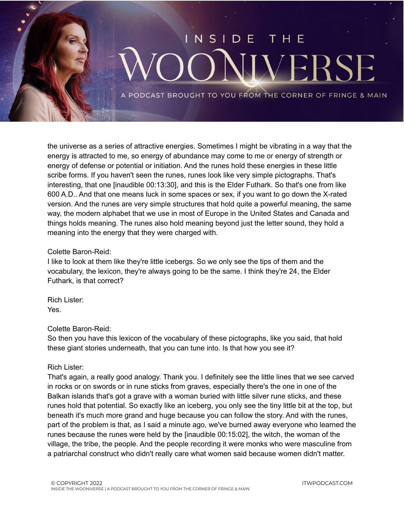

the universe as a series of attractive energies. Sometimes I might be vibrating in a way that the energy is attracted to me, so energy of abundance may come to me or energy of strength or energy of defense or potential or initiation. And the runes hold these energies in these little scribe forms. If you haven't seen the runes, runes look like very simple pictographs. That's interesting, that one [inaudible 00:13:30], and this is the Elder Futhark. So that's one from like 600 A.D.. And that one means luck in some spaces or sex, if you want to go down the X-rated version. And the runes are very simple structures that hold quite a powerful meaning, the same way, the modern alphabet that we use in most of Europe in the United States and Canada and things holds meaning. The runes also hold meaning beyond just the letter sound, they hold a meaning into the energy that they were charged with.

#### Colette Baron-Reid:

I like to look at them like they're little icebergs. So we only see the tips of them and the vocabulary, the lexicon, they're always going to be the same. I think they're 24, the Elder Futhark, is that correct?

Rich Lister: Yes.

## Colette Baron-Reid:

So then you have this lexicon of the vocabulary of these pictographs, like you said, that hold these giant stories underneath, that you can tune into. Is that how you see it?

## Rich Lister:

That's again, a really good analogy. Thank you. I definitely see the little lines that we see carved in rocks or on swords or in rune sticks from graves, especially there's the one in one of the Balkan islands that's got a grave with a woman buried with little silver rune sticks, and these runes hold that potential. So exactly like an iceberg, you only see the tiny little bit at the top, but beneath it's much more grand and huge because you can follow the story. And with the runes, part of the problem is that, as I said a minute ago, we've burned away everyone who learned the runes because the runes were held by the [inaudible 00:15:02], the witch, the woman of the village, the tribe, the people. And the people recording it were monks who were masculine from a patriarchal construct who didn't really care what women said because women didn't matter.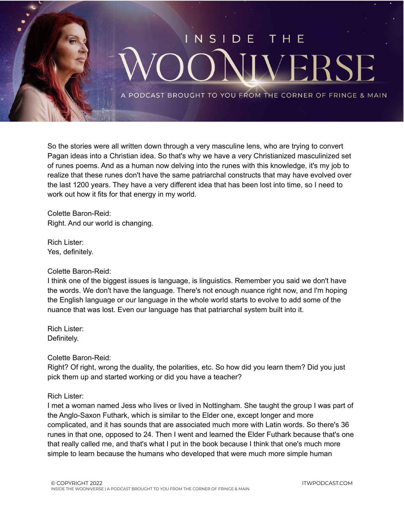

So the stories were all written down through a very masculine lens, who are trying to convert Pagan ideas into a Christian idea. So that's why we have a very Christianized masculinized set of runes poems. And as a human now delving into the runes with this knowledge, it's my job to realize that these runes don't have the same patriarchal constructs that may have evolved over the last 1200 years. They have a very different idea that has been lost into time, so I need to work out how it fits for that energy in my world.

Colette Baron-Reid: Right. And our world is changing.

Rich Lister: Yes, definitely.

## Colette Baron-Reid:

I think one of the biggest issues is language, is linguistics. Remember you said we don't have the words. We don't have the language. There's not enough nuance right now, and I'm hoping the English language or our language in the whole world starts to evolve to add some of the nuance that was lost. Even our language has that patriarchal system built into it.

Rich Lister: Definitely.

Colette Baron-Reid:

Right? Of right, wrong the duality, the polarities, etc. So how did you learn them? Did you just pick them up and started working or did you have a teacher?

Rich Lister:

I met a woman named Jess who lives or lived in Nottingham. She taught the group I was part of the Anglo-Saxon Futhark, which is similar to the Elder one, except longer and more complicated, and it has sounds that are associated much more with Latin words. So there's 36 runes in that one, opposed to 24. Then I went and learned the Elder Futhark because that's one that really called me, and that's what I put in the book because I think that one's much more simple to learn because the humans who developed that were much more simple human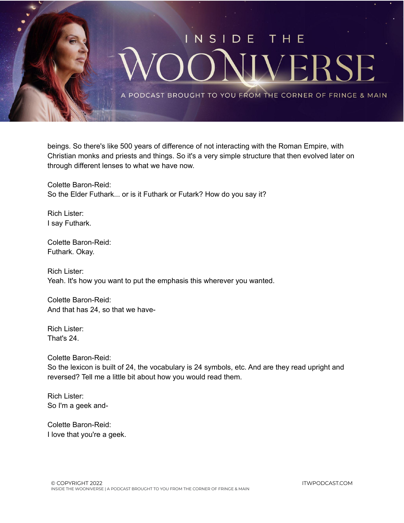

beings. So there's like 500 years of difference of not interacting with the Roman Empire, with Christian monks and priests and things. So it's a very simple structure that then evolved later on through different lenses to what we have now.

Colette Baron-Reid: So the Elder Futhark... or is it Futhark or Futark? How do you say it?

Rich Lister: I say Futhark.

Colette Baron-Reid: Futhark. Okay.

Rich Lister: Yeah. It's how you want to put the emphasis this wherever you wanted.

Colette Baron-Reid: And that has 24, so that we have-

Rich Lister: That's 24.

Colette Baron-Reid: So the lexicon is built of 24, the vocabulary is 24 symbols, etc. And are they read upright and reversed? Tell me a little bit about how you would read them.

Rich Lister: So I'm a geek and-

Colette Baron-Reid: I love that you're a geek.

ITWPODCAST.COM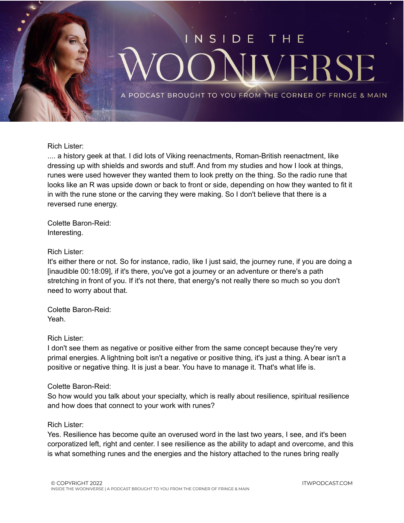

#### Rich Lister:

.... a history geek at that. I did lots of Viking reenactments, Roman-British reenactment, like dressing up with shields and swords and stuff. And from my studies and how I look at things, runes were used however they wanted them to look pretty on the thing. So the radio rune that looks like an R was upside down or back to front or side, depending on how they wanted to fit it in with the rune stone or the carving they were making. So I don't believe that there is a reversed rune energy.

Colette Baron-Reid: Interesting.

#### Rich Lister:

It's either there or not. So for instance, radio, like I just said, the journey rune, if you are doing a [inaudible 00:18:09], if it's there, you've got a journey or an adventure or there's a path stretching in front of you. If it's not there, that energy's not really there so much so you don't need to worry about that.

Colette Baron-Reid: Yeah.

#### Rich Lister:

I don't see them as negative or positive either from the same concept because they're very primal energies. A lightning bolt isn't a negative or positive thing, it's just a thing. A bear isn't a positive or negative thing. It is just a bear. You have to manage it. That's what life is.

#### Colette Baron-Reid:

So how would you talk about your specialty, which is really about resilience, spiritual resilience and how does that connect to your work with runes?

## Rich Lister:

Yes. Resilience has become quite an overused word in the last two years, I see, and it's been corporatized left, right and center. I see resilience as the ability to adapt and overcome, and this is what something runes and the energies and the history attached to the runes bring really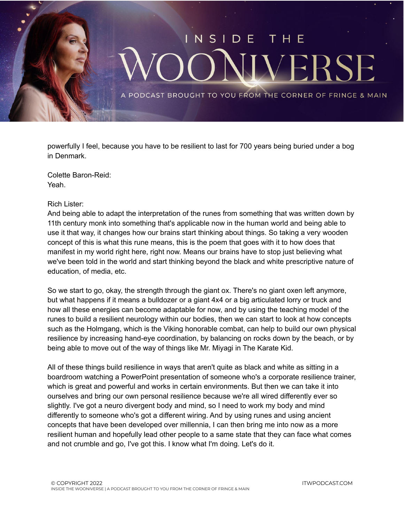

powerfully I feel, because you have to be resilient to last for 700 years being buried under a bog in Denmark.

Colette Baron-Reid: Yeah.

#### Rich Lister:

And being able to adapt the interpretation of the runes from something that was written down by 11th century monk into something that's applicable now in the human world and being able to use it that way, it changes how our brains start thinking about things. So taking a very wooden concept of this is what this rune means, this is the poem that goes with it to how does that manifest in my world right here, right now. Means our brains have to stop just believing what we've been told in the world and start thinking beyond the black and white prescriptive nature of education, of media, etc.

So we start to go, okay, the strength through the giant ox. There's no giant oxen left anymore, but what happens if it means a bulldozer or a giant 4x4 or a big articulated lorry or truck and how all these energies can become adaptable for now, and by using the teaching model of the runes to build a resilient neurology within our bodies, then we can start to look at how concepts such as the Holmgang, which is the Viking honorable combat, can help to build our own physical resilience by increasing hand-eye coordination, by balancing on rocks down by the beach, or by being able to move out of the way of things like Mr. Miyagi in The Karate Kid.

All of these things build resilience in ways that aren't quite as black and white as sitting in a boardroom watching a PowerPoint presentation of someone who's a corporate resilience trainer, which is great and powerful and works in certain environments. But then we can take it into ourselves and bring our own personal resilience because we're all wired differently ever so slightly. I've got a neuro divergent body and mind, so I need to work my body and mind differently to someone who's got a different wiring. And by using runes and using ancient concepts that have been developed over millennia, I can then bring me into now as a more resilient human and hopefully lead other people to a same state that they can face what comes and not crumble and go, I've got this. I know what I'm doing. Let's do it.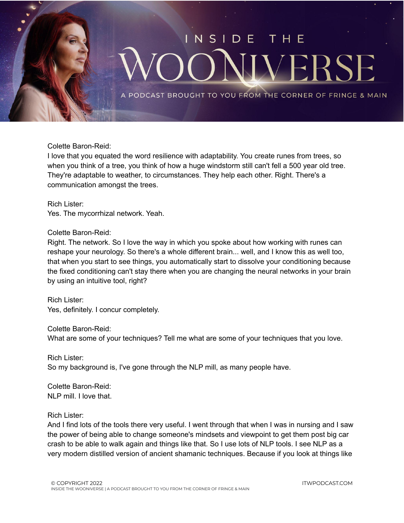

Colette Baron-Reid:

I love that you equated the word resilience with adaptability. You create runes from trees, so when you think of a tree, you think of how a huge windstorm still can't fell a 500 year old tree. They're adaptable to weather, to circumstances. They help each other. Right. There's a communication amongst the trees.

Rich Lister: Yes. The mycorrhizal network. Yeah.

## Colette Baron-Reid:

Right. The network. So I love the way in which you spoke about how working with runes can reshape your neurology. So there's a whole different brain... well, and I know this as well too, that when you start to see things, you automatically start to dissolve your conditioning because the fixed conditioning can't stay there when you are changing the neural networks in your brain by using an intuitive tool, right?

Rich Lister: Yes, definitely. I concur completely.

Colette Baron-Reid: What are some of your techniques? Tell me what are some of your techniques that you love.

Rich Lister: So my background is, I've gone through the NLP mill, as many people have.

Colette Baron-Reid: NLP mill. I love that.

## Rich Lister:

And I find lots of the tools there very useful. I went through that when I was in nursing and I saw the power of being able to change someone's mindsets and viewpoint to get them post big car crash to be able to walk again and things like that. So I use lots of NLP tools. I see NLP as a very modern distilled version of ancient shamanic techniques. Because if you look at things like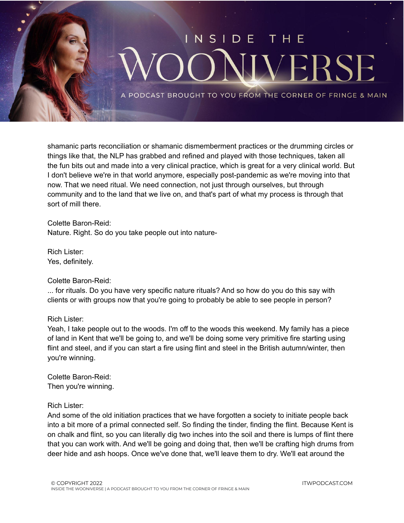

shamanic parts reconciliation or shamanic dismemberment practices or the drumming circles or things like that, the NLP has grabbed and refined and played with those techniques, taken all the fun bits out and made into a very clinical practice, which is great for a very clinical world. But I don't believe we're in that world anymore, especially post-pandemic as we're moving into that now. That we need ritual. We need connection, not just through ourselves, but through community and to the land that we live on, and that's part of what my process is through that sort of mill there.

Colette Baron-Reid: Nature. Right. So do you take people out into nature-

Rich Lister: Yes, definitely.

## Colette Baron-Reid:

... for rituals. Do you have very specific nature rituals? And so how do you do this say with clients or with groups now that you're going to probably be able to see people in person?

## Rich Lister:

Yeah, I take people out to the woods. I'm off to the woods this weekend. My family has a piece of land in Kent that we'll be going to, and we'll be doing some very primitive fire starting using flint and steel, and if you can start a fire using flint and steel in the British autumn/winter, then you're winning.

Colette Baron-Reid: Then you're winning.

## Rich Lister:

And some of the old initiation practices that we have forgotten a society to initiate people back into a bit more of a primal connected self. So finding the tinder, finding the flint. Because Kent is on chalk and flint, so you can literally dig two inches into the soil and there is lumps of flint there that you can work with. And we'll be going and doing that, then we'll be crafting high drums from deer hide and ash hoops. Once we've done that, we'll leave them to dry. We'll eat around the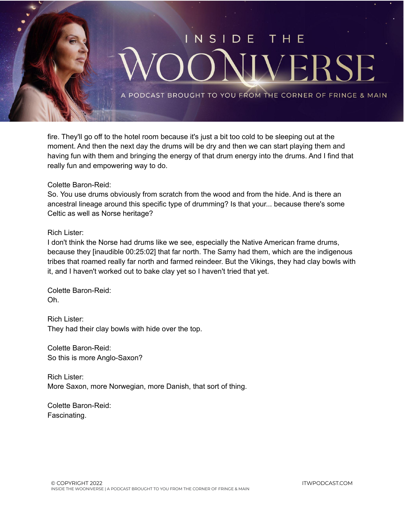

fire. They'll go off to the hotel room because it's just a bit too cold to be sleeping out at the moment. And then the next day the drums will be dry and then we can start playing them and having fun with them and bringing the energy of that drum energy into the drums. And I find that really fun and empowering way to do.

#### Colette Baron-Reid:

So. You use drums obviously from scratch from the wood and from the hide. And is there an ancestral lineage around this specific type of drumming? Is that your... because there's some Celtic as well as Norse heritage?

#### Rich Lister:

I don't think the Norse had drums like we see, especially the Native American frame drums, because they [inaudible 00:25:02] that far north. The Samy had them, which are the indigenous tribes that roamed really far north and farmed reindeer. But the Vikings, they had clay bowls with it, and I haven't worked out to bake clay yet so I haven't tried that yet.

Colette Baron-Reid: Oh.

Rich Lister: They had their clay bowls with hide over the top.

Colette Baron-Reid: So this is more Anglo-Saxon?

Rich Lister: More Saxon, more Norwegian, more Danish, that sort of thing.

Colette Baron-Reid: Fascinating.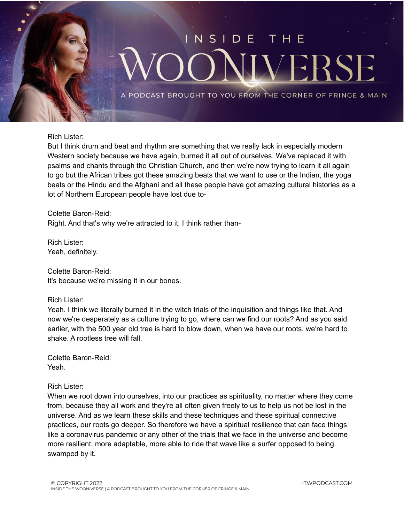

#### Rich Lister:

But I think drum and beat and rhythm are something that we really lack in especially modern Western society because we have again, burned it all out of ourselves. We've replaced it with psalms and chants through the Christian Church, and then we're now trying to learn it all again to go but the African tribes got these amazing beats that we want to use or the Indian, the yoga beats or the Hindu and the Afghani and all these people have got amazing cultural histories as a lot of Northern European people have lost due to-

Colette Baron-Reid: Right. And that's why we're attracted to it, I think rather than-

Rich Lister: Yeah, definitely.

Colette Baron-Reid: It's because we're missing it in our bones.

#### Rich Lister:

Yeah. I think we literally burned it in the witch trials of the inquisition and things like that. And now we're desperately as a culture trying to go, where can we find our roots? And as you said earlier, with the 500 year old tree is hard to blow down, when we have our roots, we're hard to shake. A rootless tree will fall.

Colette Baron-Reid: Yeah.

#### Rich Lister:

When we root down into ourselves, into our practices as spirituality, no matter where they come from, because they all work and they're all often given freely to us to help us not be lost in the universe. And as we learn these skills and these techniques and these spiritual connective practices, our roots go deeper. So therefore we have a spiritual resilience that can face things like a coronavirus pandemic or any other of the trials that we face in the universe and become more resilient, more adaptable, more able to ride that wave like a surfer opposed to being swamped by it.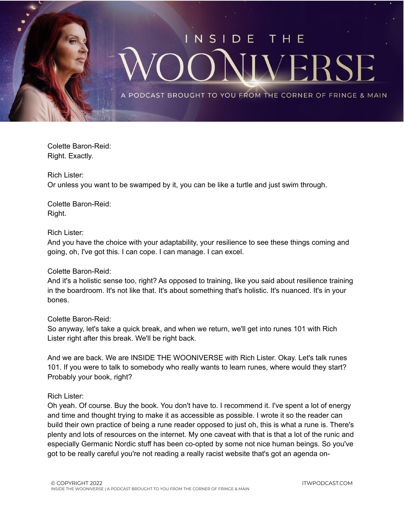

Colette Baron-Reid: Right. Exactly.

Rich Lister:

Or unless you want to be swamped by it, you can be like a turtle and just swim through.

Colette Baron-Reid: Right.

## Rich Lister:

And you have the choice with your adaptability, your resilience to see these things coming and going, oh, I've got this. I can cope. I can manage. I can excel.

## Colette Baron-Reid:

And it's a holistic sense too, right? As opposed to training, like you said about resilience training in the boardroom. It's not like that. It's about something that's holistic. It's nuanced. It's in your bones.

## Colette Baron-Reid:

So anyway, let's take a quick break, and when we return, we'll get into runes 101 with Rich Lister right after this break. We'll be right back.

And we are back. We are INSIDE THE WOONIVERSE with Rich Lister. Okay. Let's talk runes 101. If you were to talk to somebody who really wants to learn runes, where would they start? Probably your book, right?

## Rich Lister:

Oh yeah. Of course. Buy the book. You don't have to. I recommend it. I've spent a lot of energy and time and thought trying to make it as accessible as possible. I wrote it so the reader can build their own practice of being a rune reader opposed to just oh, this is what a rune is. There's plenty and lots of resources on the internet. My one caveat with that is that a lot of the runic and especially Germanic Nordic stuff has been co-opted by some not nice human beings. So you've got to be really careful you're not reading a really racist website that's got an agenda on-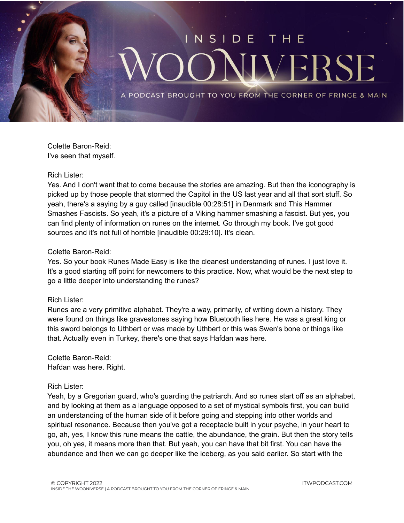

Colette Baron-Reid: I've seen that myself.

#### Rich Lister:

Yes. And I don't want that to come because the stories are amazing. But then the iconography is picked up by those people that stormed the Capitol in the US last year and all that sort stuff. So yeah, there's a saying by a guy called [inaudible 00:28:51] in Denmark and This Hammer Smashes Fascists. So yeah, it's a picture of a Viking hammer smashing a fascist. But yes, you can find plenty of information on runes on the internet. Go through my book. I've got good sources and it's not full of horrible [inaudible 00:29:10]. It's clean.

#### Colette Baron-Reid:

Yes. So your book Runes Made Easy is like the cleanest understanding of runes. I just love it. It's a good starting off point for newcomers to this practice. Now, what would be the next step to go a little deeper into understanding the runes?

#### Rich Lister:

Runes are a very primitive alphabet. They're a way, primarily, of writing down a history. They were found on things like gravestones saying how Bluetooth lies here. He was a great king or this sword belongs to Uthbert or was made by Uthbert or this was Swen's bone or things like that. Actually even in Turkey, there's one that says Hafdan was here.

Colette Baron-Reid: Hafdan was here. Right.

#### Rich Lister:

Yeah, by a Gregorian guard, who's guarding the patriarch. And so runes start off as an alphabet, and by looking at them as a language opposed to a set of mystical symbols first, you can build an understanding of the human side of it before going and stepping into other worlds and spiritual resonance. Because then you've got a receptacle built in your psyche, in your heart to go, ah, yes, I know this rune means the cattle, the abundance, the grain. But then the story tells you, oh yes, it means more than that. But yeah, you can have that bit first. You can have the abundance and then we can go deeper like the iceberg, as you said earlier. So start with the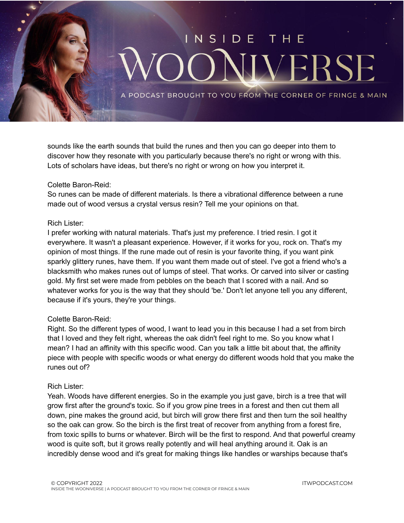

sounds like the earth sounds that build the runes and then you can go deeper into them to discover how they resonate with you particularly because there's no right or wrong with this. Lots of scholars have ideas, but there's no right or wrong on how you interpret it.

## Colette Baron-Reid:

So runes can be made of different materials. Is there a vibrational difference between a rune made out of wood versus a crystal versus resin? Tell me your opinions on that.

## Rich Lister:

I prefer working with natural materials. That's just my preference. I tried resin. I got it everywhere. It wasn't a pleasant experience. However, if it works for you, rock on. That's my opinion of most things. If the rune made out of resin is your favorite thing, if you want pink sparkly glittery runes, have them. If you want them made out of steel. I've got a friend who's a blacksmith who makes runes out of lumps of steel. That works. Or carved into silver or casting gold. My first set were made from pebbles on the beach that I scored with a nail. And so whatever works for you is the way that they should 'be.' Don't let anyone tell you any different, because if it's yours, they're your things.

## Colette Baron-Reid:

Right. So the different types of wood, I want to lead you in this because I had a set from birch that I loved and they felt right, whereas the oak didn't feel right to me. So you know what I mean? I had an affinity with this specific wood. Can you talk a little bit about that, the affinity piece with people with specific woods or what energy do different woods hold that you make the runes out of?

## Rich Lister:

Yeah. Woods have different energies. So in the example you just gave, birch is a tree that will grow first after the ground's toxic. So if you grow pine trees in a forest and then cut them all down, pine makes the ground acid, but birch will grow there first and then turn the soil healthy so the oak can grow. So the birch is the first treat of recover from anything from a forest fire, from toxic spills to burns or whatever. Birch will be the first to respond. And that powerful creamy wood is quite soft, but it grows really potently and will heal anything around it. Oak is an incredibly dense wood and it's great for making things like handles or warships because that's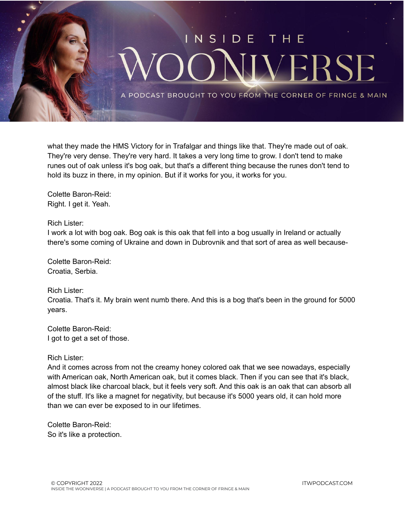

what they made the HMS Victory for in Trafalgar and things like that. They're made out of oak. They're very dense. They're very hard. It takes a very long time to grow. I don't tend to make runes out of oak unless it's bog oak, but that's a different thing because the runes don't tend to hold its buzz in there, in my opinion. But if it works for you, it works for you.

Colette Baron-Reid: Right. I get it. Yeah.

#### Rich Lister:

I work a lot with bog oak. Bog oak is this oak that fell into a bog usually in Ireland or actually there's some coming of Ukraine and down in Dubrovnik and that sort of area as well because-

Colette Baron-Reid: Croatia, Serbia.

Rich Lister:

Croatia. That's it. My brain went numb there. And this is a bog that's been in the ground for 5000 years.

Colette Baron-Reid: I got to get a set of those.

## Rich Lister:

And it comes across from not the creamy honey colored oak that we see nowadays, especially with American oak, North American oak, but it comes black. Then if you can see that it's black, almost black like charcoal black, but it feels very soft. And this oak is an oak that can absorb all of the stuff. It's like a magnet for negativity, but because it's 5000 years old, it can hold more than we can ever be exposed to in our lifetimes.

Colette Baron-Reid: So it's like a protection.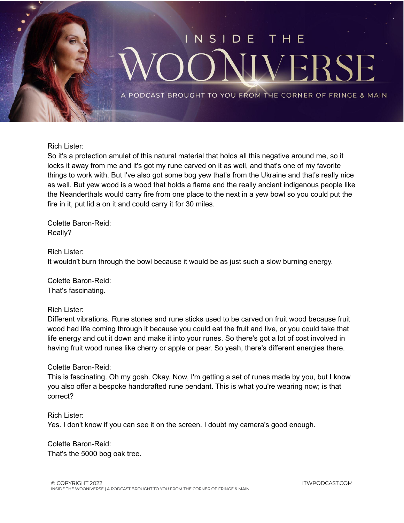

Rich Lister:

So it's a protection amulet of this natural material that holds all this negative around me, so it locks it away from me and it's got my rune carved on it as well, and that's one of my favorite things to work with. But I've also got some bog yew that's from the Ukraine and that's really nice as well. But yew wood is a wood that holds a flame and the really ancient indigenous people like the Neanderthals would carry fire from one place to the next in a yew bowl so you could put the fire in it, put lid a on it and could carry it for 30 miles.

Colette Baron-Reid: Really?

Rich Lister: It wouldn't burn through the bowl because it would be as just such a slow burning energy.

Colette Baron-Reid: That's fascinating.

Rich Lister:

Different vibrations. Rune stones and rune sticks used to be carved on fruit wood because fruit wood had life coming through it because you could eat the fruit and live, or you could take that life energy and cut it down and make it into your runes. So there's got a lot of cost involved in having fruit wood runes like cherry or apple or pear. So yeah, there's different energies there.

Colette Baron-Reid:

This is fascinating. Oh my gosh. Okay. Now, I'm getting a set of runes made by you, but I know you also offer a bespoke handcrafted rune pendant. This is what you're wearing now; is that correct?

Rich Lister: Yes. I don't know if you can see it on the screen. I doubt my camera's good enough.

Colette Baron-Reid: That's the 5000 bog oak tree.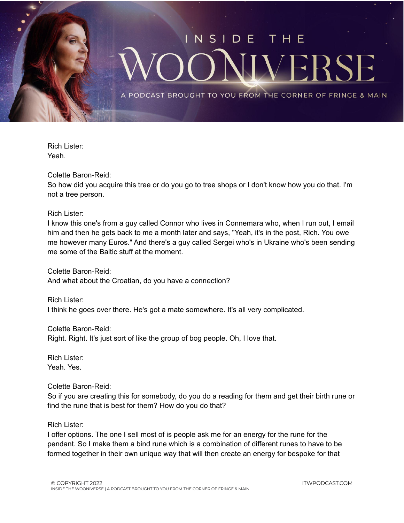

Rich Lister: Yeah.

Colette Baron-Reid:

So how did you acquire this tree or do you go to tree shops or I don't know how you do that. I'm not a tree person.

Rich Lister:

I know this one's from a guy called Connor who lives in Connemara who, when I run out, I email him and then he gets back to me a month later and says, "Yeah, it's in the post, Rich. You owe me however many Euros." And there's a guy called Sergei who's in Ukraine who's been sending me some of the Baltic stuff at the moment.

Colette Baron-Reid: And what about the Croatian, do you have a connection?

Rich Lister: I think he goes over there. He's got a mate somewhere. It's all very complicated.

Colette Baron-Reid: Right. Right. It's just sort of like the group of bog people. Oh, I love that.

Rich Lister: Yeah. Yes.

Colette Baron-Reid:

So if you are creating this for somebody, do you do a reading for them and get their birth rune or find the rune that is best for them? How do you do that?

Rich Lister:

I offer options. The one I sell most of is people ask me for an energy for the rune for the pendant. So I make them a bind rune which is a combination of different runes to have to be formed together in their own unique way that will then create an energy for bespoke for that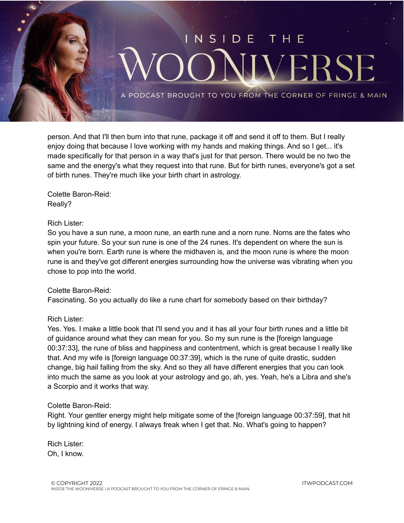

person. And that I'll then burn into that rune, package it off and send it off to them. But I really enjoy doing that because I love working with my hands and making things. And so I get... it's made specifically for that person in a way that's just for that person. There would be no two the same and the energy's what they request into that rune. But for birth runes, everyone's got a set of birth runes. They're much like your birth chart in astrology.

Colette Baron-Reid: Really?

## Rich Lister:

So you have a sun rune, a moon rune, an earth rune and a norn rune. Norns are the fates who spin your future. So your sun rune is one of the 24 runes. It's dependent on where the sun is when you're born. Earth rune is where the midhaven is, and the moon rune is where the moon rune is and they've got different energies surrounding how the universe was vibrating when you chose to pop into the world.

## Colette Baron-Reid:

Fascinating. So you actually do like a rune chart for somebody based on their birthday?

## Rich Lister:

Yes. Yes. I make a little book that I'll send you and it has all your four birth runes and a little bit of guidance around what they can mean for you. So my sun rune is the [foreign language 00:37:33], the rune of bliss and happiness and contentment, which is great because I really like that. And my wife is [foreign language 00:37:39], which is the rune of quite drastic, sudden change, big hail falling from the sky. And so they all have different energies that you can look into much the same as you look at your astrology and go, ah, yes. Yeah, he's a Libra and she's a Scorpio and it works that way.

## Colette Baron-Reid:

Right. Your gentler energy might help mitigate some of the [foreign language 00:37:59], that hit by lightning kind of energy. I always freak when I get that. No. What's going to happen?

Rich Lister: Oh, I know.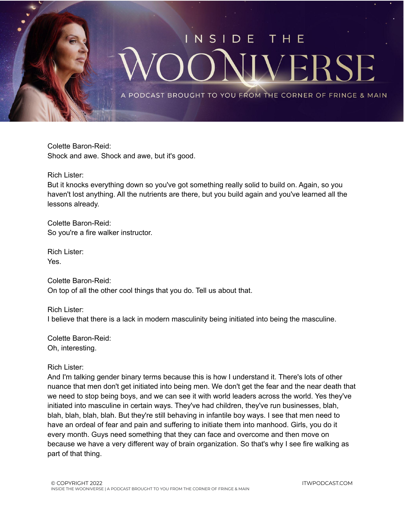

Colette Baron-Reid: Shock and awe. Shock and awe, but it's good.

Rich Lister:

But it knocks everything down so you've got something really solid to build on. Again, so you haven't lost anything. All the nutrients are there, but you build again and you've learned all the lessons already.

Colette Baron-Reid: So you're a fire walker instructor.

Rich Lister: Yes.

Colette Baron-Reid: On top of all the other cool things that you do. Tell us about that.

Rich Lister: I believe that there is a lack in modern masculinity being initiated into being the masculine.

Colette Baron-Reid: Oh, interesting.

Rich Lister:

And I'm talking gender binary terms because this is how I understand it. There's lots of other nuance that men don't get initiated into being men. We don't get the fear and the near death that we need to stop being boys, and we can see it with world leaders across the world. Yes they've initiated into masculine in certain ways. They've had children, they've run businesses, blah, blah, blah, blah, blah. But they're still behaving in infantile boy ways. I see that men need to have an ordeal of fear and pain and suffering to initiate them into manhood. Girls, you do it every month. Guys need something that they can face and overcome and then move on because we have a very different way of brain organization. So that's why I see fire walking as part of that thing.

ITWPODCAST.COM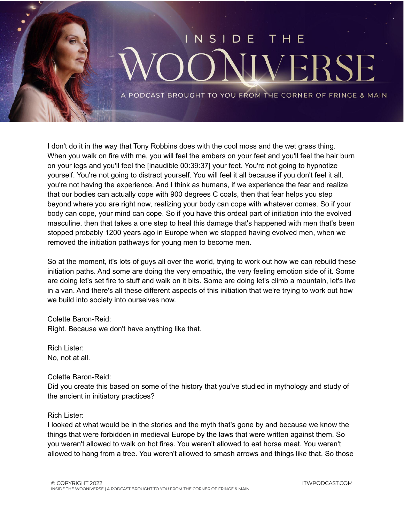

I don't do it in the way that Tony Robbins does with the cool moss and the wet grass thing. When you walk on fire with me, you will feel the embers on your feet and you'll feel the hair burn on your legs and you'll feel the [inaudible 00:39:37] your feet. You're not going to hypnotize yourself. You're not going to distract yourself. You will feel it all because if you don't feel it all, you're not having the experience. And I think as humans, if we experience the fear and realize that our bodies can actually cope with 900 degrees C coals, then that fear helps you step beyond where you are right now, realizing your body can cope with whatever comes. So if your body can cope, your mind can cope. So if you have this ordeal part of initiation into the evolved masculine, then that takes a one step to heal this damage that's happened with men that's been stopped probably 1200 years ago in Europe when we stopped having evolved men, when we removed the initiation pathways for young men to become men.

So at the moment, it's lots of guys all over the world, trying to work out how we can rebuild these initiation paths. And some are doing the very empathic, the very feeling emotion side of it. Some are doing let's set fire to stuff and walk on it bits. Some are doing let's climb a mountain, let's live in a van. And there's all these different aspects of this initiation that we're trying to work out how we build into society into ourselves now.

Colette Baron-Reid: Right. Because we don't have anything like that.

Rich Lister: No, not at all.

Colette Baron-Reid:

Did you create this based on some of the history that you've studied in mythology and study of the ancient in initiatory practices?

## Rich Lister:

I looked at what would be in the stories and the myth that's gone by and because we know the things that were forbidden in medieval Europe by the laws that were written against them. So you weren't allowed to walk on hot fires. You weren't allowed to eat horse meat. You weren't allowed to hang from a tree. You weren't allowed to smash arrows and things like that. So those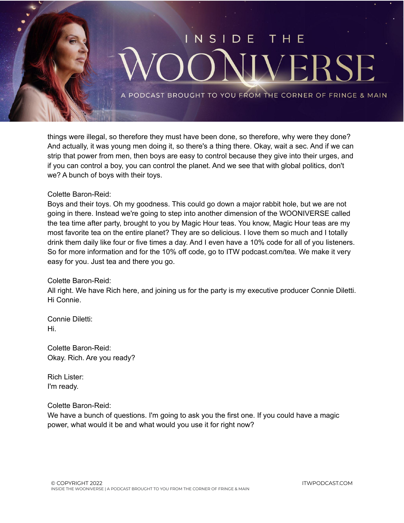

things were illegal, so therefore they must have been done, so therefore, why were they done? And actually, it was young men doing it, so there's a thing there. Okay, wait a sec. And if we can strip that power from men, then boys are easy to control because they give into their urges, and if you can control a boy, you can control the planet. And we see that with global politics, don't we? A bunch of boys with their toys.

## Colette Baron-Reid:

Boys and their toys. Oh my goodness. This could go down a major rabbit hole, but we are not going in there. Instead we're going to step into another dimension of the WOONIVERSE called the tea time after party, brought to you by Magic Hour teas. You know, Magic Hour teas are my most favorite tea on the entire planet? They are so delicious. I love them so much and I totally drink them daily like four or five times a day. And I even have a 10% code for all of you listeners. So for more information and for the 10% off code, go to ITW podcast.com/tea. We make it very easy for you. Just tea and there you go.

#### Colette Baron-Reid:

All right. We have Rich here, and joining us for the party is my executive producer Connie Diletti. Hi Connie.

Connie Diletti: Hi.

Colette Baron-Reid: Okay. Rich. Are you ready?

Rich Lister: I'm ready.

#### Colette Baron-Reid:

We have a bunch of questions. I'm going to ask you the first one. If you could have a magic power, what would it be and what would you use it for right now?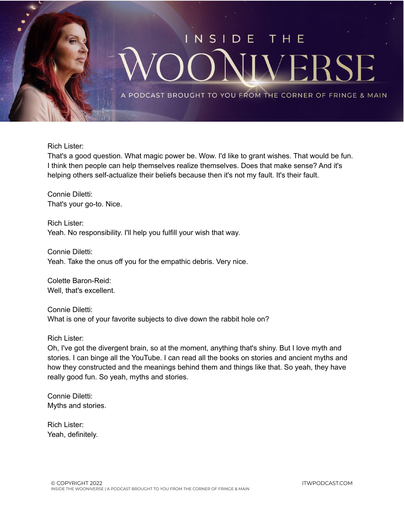

Rich Lister:

That's a good question. What magic power be. Wow. I'd like to grant wishes. That would be fun. I think then people can help themselves realize themselves. Does that make sense? And it's helping others self-actualize their beliefs because then it's not my fault. It's their fault.

Connie Diletti: That's your go-to. Nice.

Rich Lister: Yeah. No responsibility. I'll help you fulfill your wish that way.

Connie Diletti: Yeah. Take the onus off you for the empathic debris. Very nice.

Colette Baron-Reid: Well, that's excellent.

Connie Diletti: What is one of your favorite subjects to dive down the rabbit hole on?

Rich Lister:

Oh, I've got the divergent brain, so at the moment, anything that's shiny. But I love myth and stories. I can binge all the YouTube. I can read all the books on stories and ancient myths and how they constructed and the meanings behind them and things like that. So yeah, they have really good fun. So yeah, myths and stories.

Connie Diletti: Myths and stories.

Rich Lister: Yeah, definitely.

ITWPODCAST.COM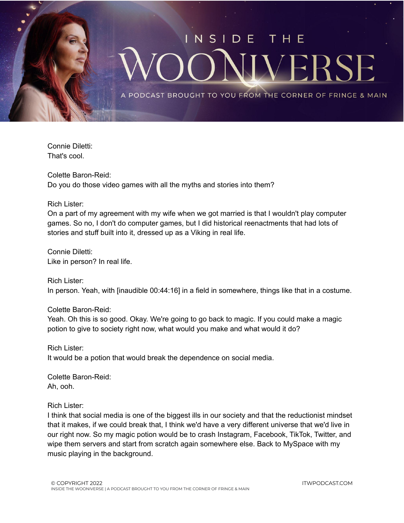

Connie Diletti: That's cool.

Colette Baron-Reid: Do you do those video games with all the myths and stories into them?

Rich Lister:

On a part of my agreement with my wife when we got married is that I wouldn't play computer games. So no, I don't do computer games, but I did historical reenactments that had lots of stories and stuff built into it, dressed up as a Viking in real life.

Connie Diletti: Like in person? In real life.

Rich Lister: In person. Yeah, with [inaudible 00:44:16] in a field in somewhere, things like that in a costume.

Colette Baron-Reid:

Yeah. Oh this is so good. Okay. We're going to go back to magic. If you could make a magic potion to give to society right now, what would you make and what would it do?

Rich Lister: It would be a potion that would break the dependence on social media.

Colette Baron-Reid: Ah, ooh.

Rich Lister:

I think that social media is one of the biggest ills in our society and that the reductionist mindset that it makes, if we could break that, I think we'd have a very different universe that we'd live in our right now. So my magic potion would be to crash Instagram, Facebook, TikTok, Twitter, and wipe them servers and start from scratch again somewhere else. Back to MySpace with my music playing in the background.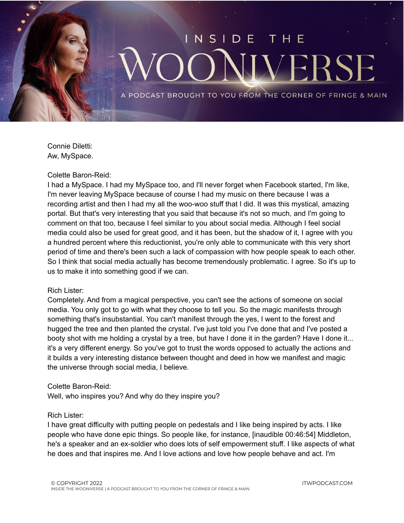

Connie Diletti: Aw, MySpace.

#### Colette Baron-Reid:

I had a MySpace. I had my MySpace too, and I'll never forget when Facebook started, I'm like, I'm never leaving MySpace because of course I had my music on there because I was a recording artist and then I had my all the woo-woo stuff that I did. It was this mystical, amazing portal. But that's very interesting that you said that because it's not so much, and I'm going to comment on that too, because I feel similar to you about social media. Although I feel social media could also be used for great good, and it has been, but the shadow of it, I agree with you a hundred percent where this reductionist, you're only able to communicate with this very short period of time and there's been such a lack of compassion with how people speak to each other. So I think that social media actually has become tremendously problematic. I agree. So it's up to us to make it into something good if we can.

#### Rich Lister:

Completely. And from a magical perspective, you can't see the actions of someone on social media. You only got to go with what they choose to tell you. So the magic manifests through something that's insubstantial. You can't manifest through the yes, I went to the forest and hugged the tree and then planted the crystal. I've just told you I've done that and I've posted a booty shot with me holding a crystal by a tree, but have I done it in the garden? Have I done it... it's a very different energy. So you've got to trust the words opposed to actually the actions and it builds a very interesting distance between thought and deed in how we manifest and magic the universe through social media, I believe.

#### Colette Baron-Reid:

Well, who inspires you? And why do they inspire you?

#### Rich Lister:

I have great difficulty with putting people on pedestals and I like being inspired by acts. I like people who have done epic things. So people like, for instance, [inaudible 00:46:54] Middleton, he's a speaker and an ex-soldier who does lots of self empowerment stuff. I like aspects of what he does and that inspires me. And I love actions and love how people behave and act. I'm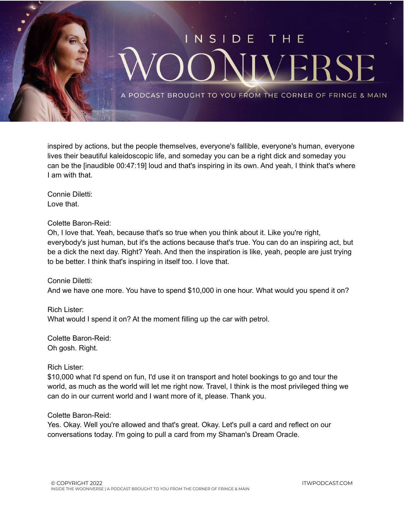

inspired by actions, but the people themselves, everyone's fallible, everyone's human, everyone lives their beautiful kaleidoscopic life, and someday you can be a right dick and someday you can be the [inaudible 00:47:19] loud and that's inspiring in its own. And yeah, I think that's where I am with that.

Connie Diletti: Love that.

Colette Baron-Reid:

Oh, I love that. Yeah, because that's so true when you think about it. Like you're right, everybody's just human, but it's the actions because that's true. You can do an inspiring act, but be a dick the next day. Right? Yeah. And then the inspiration is like, yeah, people are just trying to be better. I think that's inspiring in itself too. I love that.

Connie Diletti: And we have one more. You have to spend \$10,000 in one hour. What would you spend it on?

Rich Lister: What would I spend it on? At the moment filling up the car with petrol.

Colette Baron-Reid: Oh gosh. Right.

Rich Lister:

\$10,000 what I'd spend on fun, I'd use it on transport and hotel bookings to go and tour the world, as much as the world will let me right now. Travel, I think is the most privileged thing we can do in our current world and I want more of it, please. Thank you.

Colette Baron-Reid:

Yes. Okay. Well you're allowed and that's great. Okay. Let's pull a card and reflect on our conversations today. I'm going to pull a card from my Shaman's Dream Oracle.

ITWPODCAST.COM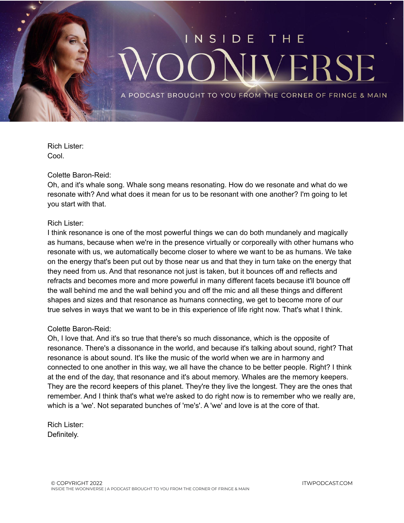

Rich Lister: Cool.

## Colette Baron-Reid:

Oh, and it's whale song. Whale song means resonating. How do we resonate and what do we resonate with? And what does it mean for us to be resonant with one another? I'm going to let you start with that.

## Rich Lister:

I think resonance is one of the most powerful things we can do both mundanely and magically as humans, because when we're in the presence virtually or corporeally with other humans who resonate with us, we automatically become closer to where we want to be as humans. We take on the energy that's been put out by those near us and that they in turn take on the energy that they need from us. And that resonance not just is taken, but it bounces off and reflects and refracts and becomes more and more powerful in many different facets because it'll bounce off the wall behind me and the wall behind you and off the mic and all these things and different shapes and sizes and that resonance as humans connecting, we get to become more of our true selves in ways that we want to be in this experience of life right now. That's what I think.

## Colette Baron-Reid:

Oh, I love that. And it's so true that there's so much dissonance, which is the opposite of resonance. There's a dissonance in the world, and because it's talking about sound, right? That resonance is about sound. It's like the music of the world when we are in harmony and connected to one another in this way, we all have the chance to be better people. Right? I think at the end of the day, that resonance and it's about memory. Whales are the memory keepers. They are the record keepers of this planet. They're they live the longest. They are the ones that remember. And I think that's what we're asked to do right now is to remember who we really are, which is a 'we'. Not separated bunches of 'me's'. A 'we' and love is at the core of that.

Rich Lister: Definitely.